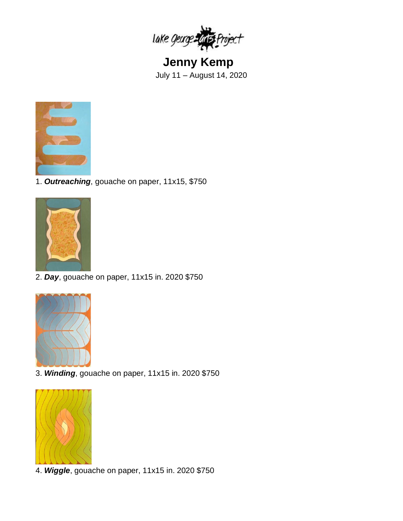

**Jenny Kemp** July 11 – August 14, 2020



1. *Outreaching*, gouache on paper, 11x15, \$750



2. *Day*, gouache on paper, 11x15 in. 2020 \$750



3. *Winding*, gouache on paper, 11x15 in. 2020 \$750



4. *Wiggle*, gouache on paper, 11x15 in. 2020 \$750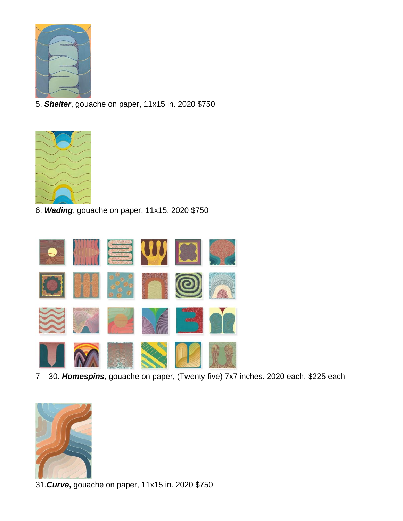

5. *Shelter*, gouache on paper, 11x15 in. 2020 \$750



6. *Wading*, gouache on paper, 11x15, 2020 \$750



7 – 30. *Homespins*, gouache on paper, (Twenty-five) 7x7 inches. 2020 each. \$225 each



31.*Curve***,** gouache on paper, 11x15 in. 2020 \$750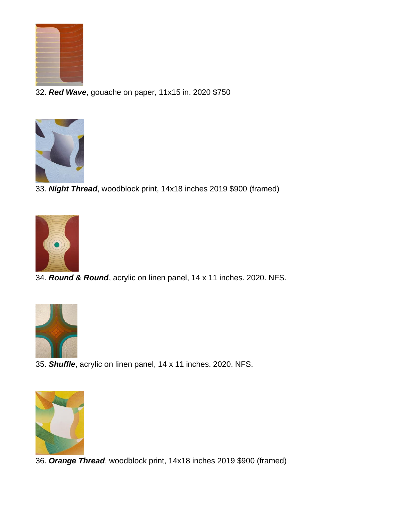

32. *Red Wave*, gouache on paper, 11x15 in. 2020 \$750



33. *Night Thread*, woodblock print, 14x18 inches 2019 \$900 (framed)



34. *Round & Round*, acrylic on linen panel, 14 x 11 inches. 2020. NFS.



35. *Shuffle*, acrylic on linen panel, 14 x 11 inches. 2020. NFS.



36. *Orange Thread*, woodblock print, 14x18 inches 2019 \$900 (framed)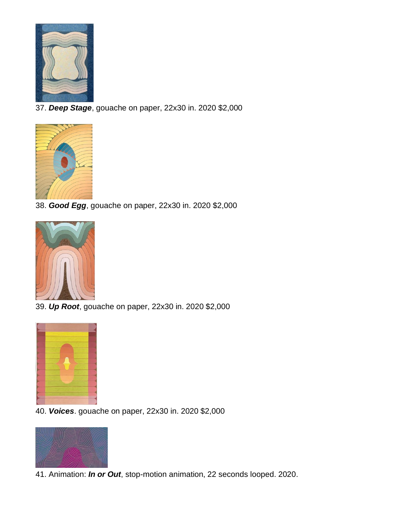

37. *Deep Stage*, gouache on paper, 22x30 in. 2020 \$2,000



38. *Good Egg*, gouache on paper, 22x30 in. 2020 \$2,000



39. *Up Root*, gouache on paper, 22x30 in. 2020 \$2,000



40. *Voices*. gouache on paper, 22x30 in. 2020 \$2,000



41. Animation: *In or Out*, stop-motion animation, 22 seconds looped. 2020.